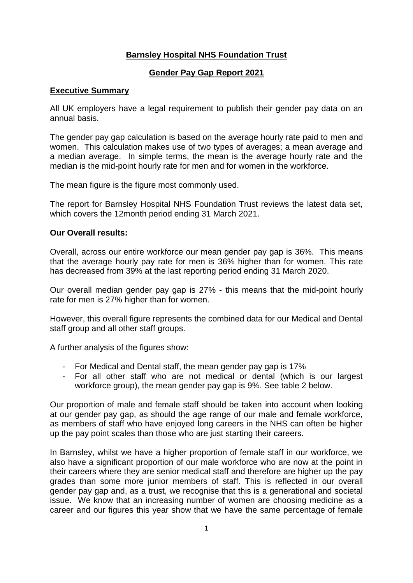### **Barnsley Hospital NHS Foundation Trust**

#### **Gender Pay Gap Report 2021**

#### **Executive Summary**

All UK employers have a legal requirement to publish their gender pay data on an annual basis.

The gender pay gap calculation is based on the average hourly rate paid to men and women. This calculation makes use of two types of averages; a mean average and a median average. In simple terms, the mean is the average hourly rate and the median is the mid-point hourly rate for men and for women in the workforce.

The mean figure is the figure most commonly used.

The report for Barnsley Hospital NHS Foundation Trust reviews the latest data set, which covers the 12month period ending 31 March 2021.

#### **Our Overall results:**

Overall, across our entire workforce our mean gender pay gap is 36%. This means that the average hourly pay rate for men is 36% higher than for women. This rate has decreased from 39% at the last reporting period ending 31 March 2020.

Our overall median gender pay gap is 27% - this means that the mid-point hourly rate for men is 27% higher than for women.

However, this overall figure represents the combined data for our Medical and Dental staff group and all other staff groups.

A further analysis of the figures show:

- For Medical and Dental staff, the mean gender pay gap is 17%
- For all other staff who are not medical or dental (which is our largest workforce group), the mean gender pay gap is 9%. See table 2 below.

Our proportion of male and female staff should be taken into account when looking at our gender pay gap, as should the age range of our male and female workforce, as members of staff who have enjoyed long careers in the NHS can often be higher up the pay point scales than those who are just starting their careers.

In Barnsley, whilst we have a higher proportion of female staff in our workforce, we also have a significant proportion of our male workforce who are now at the point in their careers where they are senior medical staff and therefore are higher up the pay grades than some more junior members of staff. This is reflected in our overall gender pay gap and, as a trust, we recognise that this is a generational and societal issue. We know that an increasing number of women are choosing medicine as a career and our figures this year show that we have the same percentage of female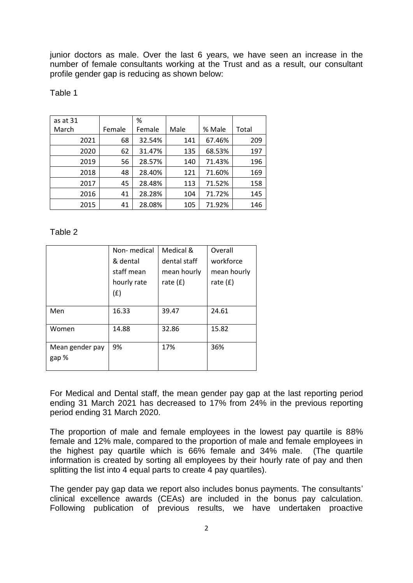junior doctors as male. Over the last 6 years, we have seen an increase in the number of female consultants working at the Trust and as a result, our consultant profile gender gap is reducing as shown below:

| as at 31 |        | %      |      |        |       |
|----------|--------|--------|------|--------|-------|
| March    | Female | Female | Male | % Male | Total |
| 2021     | 68     | 32.54% | 141  | 67.46% | 209   |
| 2020     | 62     | 31.47% | 135  | 68.53% | 197   |
| 2019     | 56     | 28.57% | 140  | 71.43% | 196   |
| 2018     | 48     | 28.40% | 121  | 71.60% | 169   |
| 2017     | 45     | 28.48% | 113  | 71.52% | 158   |
| 2016     | 41     | 28.28% | 104  | 71.72% | 145   |
| 2015     | 41     | 28.08% | 105  | 71.92% | 146   |

Table 1

#### Table 2

|                 | Non-medical | Medical &    | Overall     |
|-----------------|-------------|--------------|-------------|
|                 | & dental    | dental staff | workforce   |
|                 | staff mean  | mean hourly  | mean hourly |
|                 | hourly rate | rate $(f)$   | rate $(f)$  |
|                 | (f)         |              |             |
|                 |             |              |             |
| Men             | 16.33       | 39.47        | 24.61       |
|                 |             |              |             |
| Women           | 14.88       | 32.86        | 15.82       |
| Mean gender pay | 9%          | 17%          | 36%         |
|                 |             |              |             |
| gap %           |             |              |             |
|                 |             |              |             |

For Medical and Dental staff, the mean gender pay gap at the last reporting period ending 31 March 2021 has decreased to 17% from 24% in the previous reporting period ending 31 March 2020.

The proportion of male and female employees in the lowest pay quartile is 88% female and 12% male, compared to the proportion of male and female employees in the highest pay quartile which is 66% female and 34% male. (The quartile information is created by sorting all employees by their hourly rate of pay and then splitting the list into 4 equal parts to create 4 pay quartiles).

The gender pay gap data we report also includes bonus payments. The consultants' clinical excellence awards (CEAs) are included in the bonus pay calculation. Following publication of previous results, we have undertaken proactive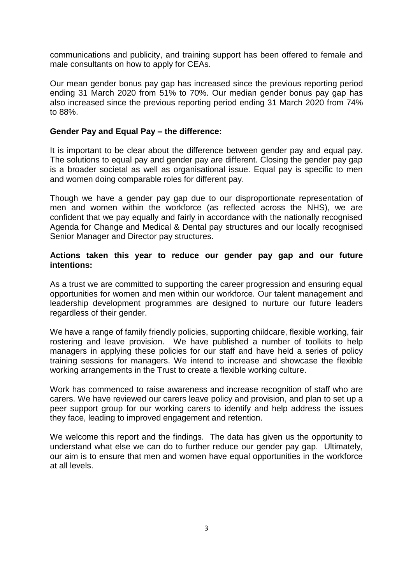communications and publicity, and training support has been offered to female and male consultants on how to apply for CEAs.

Our mean gender bonus pay gap has increased since the previous reporting period ending 31 March 2020 from 51% to 70%. Our median gender bonus pay gap has also increased since the previous reporting period ending 31 March 2020 from 74% to 88%.

#### **Gender Pay and Equal Pay – the difference:**

It is important to be clear about the difference between gender pay and equal pay. The solutions to equal pay and gender pay are different. Closing the gender pay gap is a broader societal as well as organisational issue. Equal pay is specific to men and women doing comparable roles for different pay.

Though we have a gender pay gap due to our disproportionate representation of men and women within the workforce (as reflected across the NHS), we are confident that we pay equally and fairly in accordance with the nationally recognised Agenda for Change and Medical & Dental pay structures and our locally recognised Senior Manager and Director pay structures.

#### **Actions taken this year to reduce our gender pay gap and our future intentions:**

As a trust we are committed to supporting the career progression and ensuring equal opportunities for women and men within our workforce. Our talent management and leadership development programmes are designed to nurture our future leaders regardless of their gender.

We have a range of family friendly policies, supporting childcare, flexible working, fair rostering and leave provision. We have published a number of toolkits to help managers in applying these policies for our staff and have held a series of policy training sessions for managers. We intend to increase and showcase the flexible working arrangements in the Trust to create a flexible working culture.

Work has commenced to raise awareness and increase recognition of staff who are carers. We have reviewed our carers leave policy and provision, and plan to set up a peer support group for our working carers to identify and help address the issues they face, leading to improved engagement and retention.

We welcome this report and the findings. The data has given us the opportunity to understand what else we can do to further reduce our gender pay gap. Ultimately, our aim is to ensure that men and women have equal opportunities in the workforce at all levels.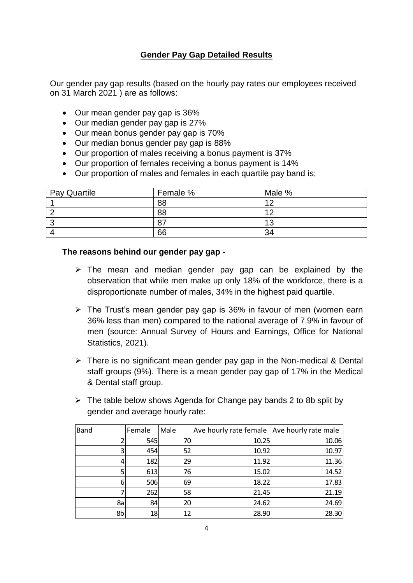# **Gender Pay Gap Detailed Results**

Our gender pay gap results (based on the hourly pay rates our employees received on 31 March 2021 ) are as follows:

- Our mean gender pay gap is 36%
- Our median gender pay gap is 27%
- Our mean bonus gender pay gap is 70%
- Our median bonus gender pay gap is 88%
- Our proportion of males receiving a bonus payment is 37%
- Our proportion of females receiving a bonus payment is 14%
- Our proportion of males and females in each quartile pay band is;

| Pay Quartile | Female % | Male % |
|--------------|----------|--------|
|              | 88       |        |
|              | 88       | 10     |
|              | 87       | 13     |
|              | 66       | 34     |

### **The reasons behind our gender pay gap -**

- ➢ The mean and median gender pay gap can be explained by the observation that while men make up only 18% of the workforce, there is a disproportionate number of males, 34% in the highest paid quartile.
- ➢ The Trust's mean gender pay gap is 36% in favour of men (women earn 36% less than men) compared to the national average of 7.9% in favour of men (source: Annual Survey of Hours and Earnings, Office for National Statistics, 2021).
- ➢ There is no significant mean gender pay gap in the Non-medical & Dental staff groups (9%). There is a mean gender pay gap of 17% in the Medical & Dental staff group.
- $\triangleright$  The table below shows Agenda for Change pay bands 2 to 8b split by gender and average hourly rate:

| <b>Band</b> | Female | Male | Ave hourly rate female Ave hourly rate male |       |
|-------------|--------|------|---------------------------------------------|-------|
|             | 545    | 70   | 10.25                                       | 10.06 |
|             | 454    | 52   | 10.92                                       | 10.97 |
|             | 182    | 29   | 11.92                                       | 11.36 |
|             | 613    | 76   | 15.02                                       | 14.52 |
| 6           | 506    | 69   | 18.22                                       | 17.83 |
|             | 262    | 58   | 21.45                                       | 21.19 |
| 8a          | 84     | 20   | 24.62                                       | 24.69 |
| 8b          | 18     | 12   | 28.90                                       | 28.30 |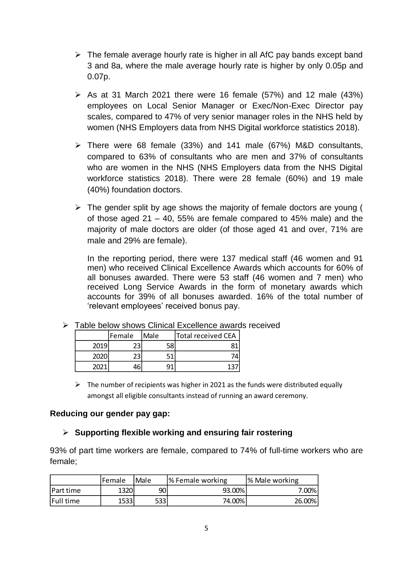- $\triangleright$  The female average hourly rate is higher in all AfC pay bands except band 3 and 8a, where the male average hourly rate is higher by only 0.05p and 0.07p.
- $\triangleright$  As at 31 March 2021 there were 16 female (57%) and 12 male (43%) employees on Local Senior Manager or Exec/Non-Exec Director pay scales, compared to 47% of very senior manager roles in the NHS held by women (NHS Employers data from NHS Digital workforce statistics 2018).
- ➢ There were 68 female (33%) and 141 male (67%) M&D consultants, compared to 63% of consultants who are men and 37% of consultants who are women in the NHS (NHS Employers data from the NHS Digital workforce statistics 2018). There were 28 female (60%) and 19 male (40%) foundation doctors.
- $\triangleright$  The gender split by age shows the majority of female doctors are young ( of those aged 21 – 40, 55% are female compared to 45% male) and the majority of male doctors are older (of those aged 41 and over, 71% are male and 29% are female).

In the reporting period, there were 137 medical staff (46 women and 91 men) who received Clinical Excellence Awards which accounts for 60% of all bonuses awarded. There were 53 staff (46 women and 7 men) who received Long Service Awards in the form of monetary awards which accounts for 39% of all bonuses awarded. 16% of the total number of 'relevant employees' received bonus pay.

|      | Female | <i>Male</i> | Total received CEA |
|------|--------|-------------|--------------------|
| 2019 | 23,    | 58          | 01                 |
| 2020 | 23     | C 1         |                    |
| 2021 | 16     | Ω1          |                    |

- ➢ Table below shows Clinical Excellence awards received
	- $\triangleright$  The number of recipients was higher in 2021 as the funds were distributed equally amongst all eligible consultants instead of running an award ceremony.

#### **Reducing our gender pay gap:**

### ➢ **Supporting flexible working and ensuring fair rostering**

93% of part time workers are female, compared to 74% of full-time workers who are female;

|                  | lFemale.     | <b>IMale</b> | 1% Female working | % Male working |
|------------------|--------------|--------------|-------------------|----------------|
| IPart time       | <b>1320i</b> | 90I          | 93.00%            | 7.00%I         |
| <b>Full time</b> | 15331        | 533I         | 74.00%।           | 26.00%         |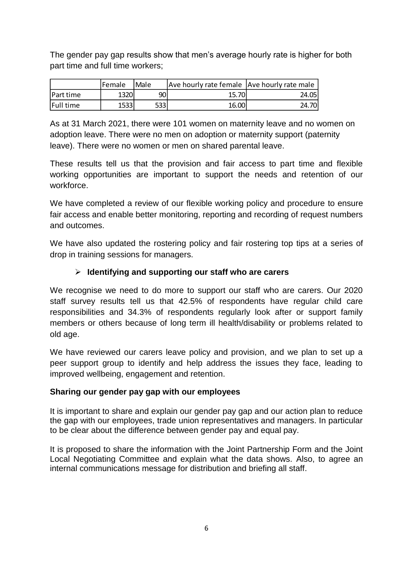The gender pay gap results show that men's average hourly rate is higher for both part time and full time workers;

|                  | <b>IFemale</b> | <b>IMale</b> | Ave hourly rate female Ave hourly rate male |       |
|------------------|----------------|--------------|---------------------------------------------|-------|
| <b>Part time</b> | 1320           | 90I          | 15.70l                                      | 24.05 |
| Full time        | 15331          | 533I         | 16.00l                                      | 24.70 |

As at 31 March 2021, there were 101 women on maternity leave and no women on adoption leave. There were no men on adoption or maternity support (paternity leave). There were no women or men on shared parental leave.

These results tell us that the provision and fair access to part time and flexible working opportunities are important to support the needs and retention of our workforce.

We have completed a review of our flexible working policy and procedure to ensure fair access and enable better monitoring, reporting and recording of request numbers and outcomes.

We have also updated the rostering policy and fair rostering top tips at a series of drop in training sessions for managers.

## ➢ **Identifying and supporting our staff who are carers**

We recognise we need to do more to support our staff who are carers. Our 2020 staff survey results tell us that 42.5% of respondents have regular child care responsibilities and 34.3% of respondents regularly look after or support family members or others because of long term ill health/disability or problems related to old age.

We have reviewed our carers leave policy and provision, and we plan to set up a peer support group to identify and help address the issues they face, leading to improved wellbeing, engagement and retention.

### **Sharing our gender pay gap with our employees**

It is important to share and explain our gender pay gap and our action plan to reduce the gap with our employees, trade union representatives and managers. In particular to be clear about the difference between gender pay and equal pay.

It is proposed to share the information with the Joint Partnership Form and the Joint Local Negotiating Committee and explain what the data shows. Also, to agree an internal communications message for distribution and briefing all staff.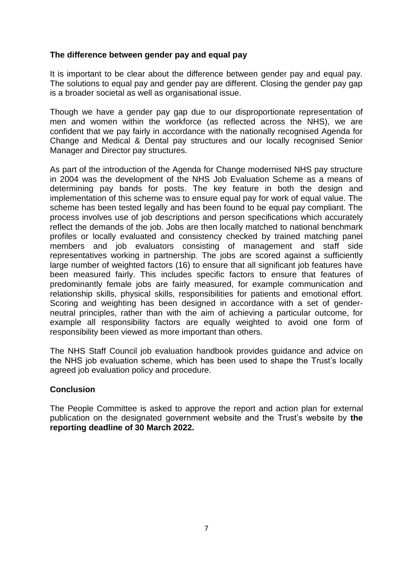### **The difference between gender pay and equal pay**

It is important to be clear about the difference between gender pay and equal pay. The solutions to equal pay and gender pay are different. Closing the gender pay gap is a broader societal as well as organisational issue.

Though we have a gender pay gap due to our disproportionate representation of men and women within the workforce (as reflected across the NHS), we are confident that we pay fairly in accordance with the nationally recognised Agenda for Change and Medical & Dental pay structures and our locally recognised Senior Manager and Director pay structures.

As part of the introduction of the Agenda for Change modernised NHS pay structure in 2004 was the development of the NHS Job Evaluation Scheme as a means of determining pay bands for posts. The key feature in both the design and implementation of this scheme was to ensure equal pay for work of equal value. The scheme has been tested legally and has been found to be equal pay compliant. The process involves use of job descriptions and person specifications which accurately reflect the demands of the job. Jobs are then locally matched to national benchmark profiles or locally evaluated and consistency checked by trained matching panel members and job evaluators consisting of management and staff side representatives working in partnership. The jobs are scored against a sufficiently large number of weighted factors (16) to ensure that all significant job features have been measured fairly. This includes specific factors to ensure that features of predominantly female jobs are fairly measured, for example communication and relationship skills, physical skills, responsibilities for patients and emotional effort. Scoring and weighting has been designed in accordance with a set of genderneutral principles, rather than with the aim of achieving a particular outcome, for example all responsibility factors are equally weighted to avoid one form of responsibility been viewed as more important than others.

The NHS Staff Council job evaluation handbook provides guidance and advice on the NHS job evaluation scheme, which has been used to shape the Trust's locally agreed job evaluation policy and procedure.

### **Conclusion**

The People Committee is asked to approve the report and action plan for external publication on the designated government website and the Trust's website by **the reporting deadline of 30 March 2022.**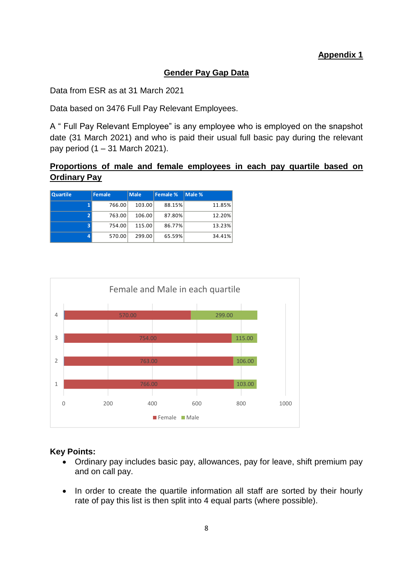## **Appendix 1**

### **Gender Pay Gap Data**

Data from ESR as at 31 March 2021

Data based on 3476 Full Pay Relevant Employees.

A " Full Pay Relevant Employee" is any employee who is employed on the snapshot date (31 March 2021) and who is paid their usual full basic pay during the relevant pay period (1 – 31 March 2021).

## **Proportions of male and female employees in each pay quartile based on Ordinary Pay**

| <b>Quartile</b> | <b>Female</b> | <b>Male</b> | Female % | Male % |
|-----------------|---------------|-------------|----------|--------|
|                 | 766.00        | 103.00      | 88.15%   | 11.85% |
|                 | 763.00        | 106.00      | 87.80%   | 12.20% |
| 3               | 754.00        | 115.00      | 86.77%   | 13.23% |
| 4               | 570.00        | 299.00      | 65.59%   | 34.41% |



### **Key Points:**

- Ordinary pay includes basic pay, allowances, pay for leave, shift premium pay and on call pay.
- In order to create the quartile information all staff are sorted by their hourly rate of pay this list is then split into 4 equal parts (where possible).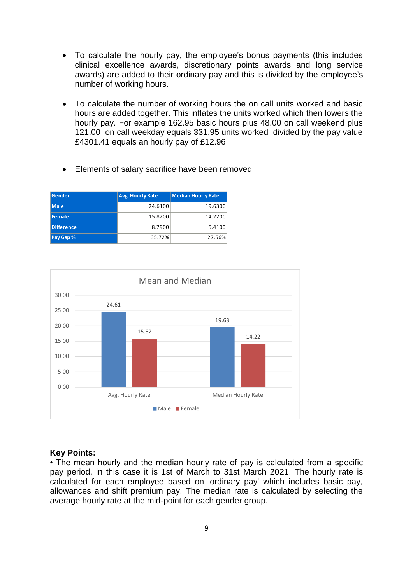- To calculate the hourly pay, the employee's bonus payments (this includes clinical excellence awards, discretionary points awards and long service awards) are added to their ordinary pay and this is divided by the employee's number of working hours.
- To calculate the number of working hours the on call units worked and basic hours are added together. This inflates the units worked which then lowers the hourly pay. For example 162.95 basic hours plus 48.00 on call weekend plus 121.00 on call weekday equals 331.95 units worked divided by the pay value £4301.41 equals an hourly pay of £12.96
- Elements of salary sacrifice have been removed

| <b>Gender</b>     | <b>Avg. Hourly Rate</b> | <b>Median Hourly Rate</b> |
|-------------------|-------------------------|---------------------------|
| <b>Male</b>       | 24.6100                 | 19.6300                   |
| <b>Female</b>     | 15.8200                 | 14.2200                   |
| <b>Difference</b> | 8.7900                  | 5.4100                    |
| Pay Gap %         | 35.72%                  | 27.56%                    |



#### **Key Points:**

• The mean hourly and the median hourly rate of pay is calculated from a specific pay period, in this case it is 1st of March to 31st March 2021. The hourly rate is calculated for each employee based on 'ordinary pay' which includes basic pay, allowances and shift premium pay. The median rate is calculated by selecting the average hourly rate at the mid-point for each gender group.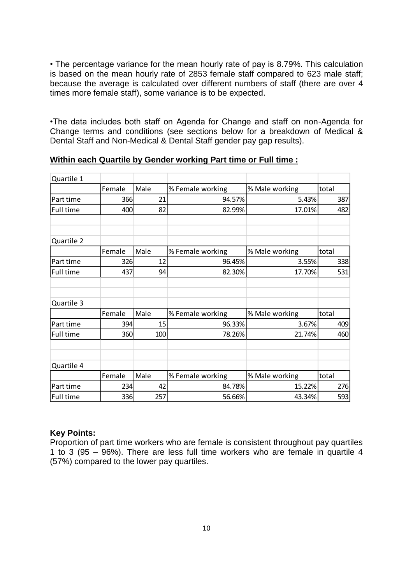• The percentage variance for the mean hourly rate of pay is 8.79%. This calculation is based on the mean hourly rate of 2853 female staff compared to 623 male staff; because the average is calculated over different numbers of staff (there are over 4 times more female staff), some variance is to be expected.

•The data includes both staff on Agenda for Change and staff on non-Agenda for Change terms and conditions (see sections below for a breakdown of Medical & Dental Staff and Non-Medical & Dental Staff gender pay gap results).

| Quartile 1 |        |      |                  |                |        |     |
|------------|--------|------|------------------|----------------|--------|-----|
|            | Female | Male | % Female working | % Male working | total  |     |
| Part time  | 366    | 21   | 94.57%           | 5.43%          |        | 387 |
| Full time  | 400    | 82   | 82.99%           | 17.01%         |        | 482 |
|            |        |      |                  |                |        |     |
| Quartile 2 |        |      |                  |                |        |     |
|            | Female | Male | % Female working | % Male working | total  |     |
| Part time  | 326    | 12   | 96.45%           | 3.55%          |        | 338 |
| Full time  | 437    | 94   | 82.30%           | 17.70%         |        | 531 |
|            |        |      |                  |                |        |     |
| Quartile 3 |        |      |                  |                |        |     |
|            | Female | Male | % Female working | % Male working | total  |     |
| Part time  | 394    | 15   | 96.33%           | 3.67%          |        | 409 |
| Full time  | 360    | 100  | 78.26%           | 21.74%         |        | 460 |
|            |        |      |                  |                |        |     |
| Quartile 4 |        |      |                  |                |        |     |
|            | Female | Male | % Female working | % Male working | Itotal |     |
| Part time  | 234    | 42   | 84.78%           | 15.22%         |        | 276 |
| Full time  | 336    | 257  | 56.66%           | 43.34%         |        | 593 |

**Within each Quartile by Gender working Part time or Full time :**

#### **Key Points:**

Proportion of part time workers who are female is consistent throughout pay quartiles 1 to 3 (95 – 96%). There are less full time workers who are female in quartile 4 (57%) compared to the lower pay quartiles.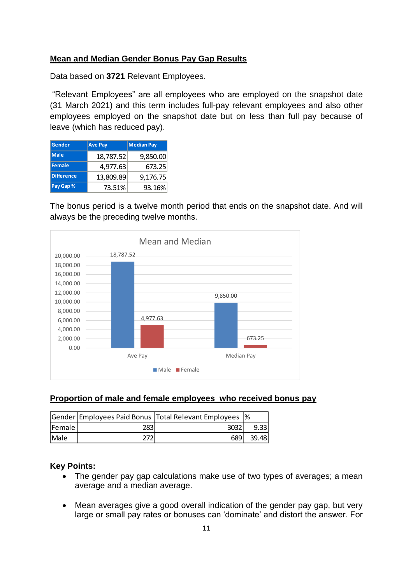### **Mean and Median Gender Bonus Pay Gap Results**

Data based on **3721** Relevant Employees.

"Relevant Employees" are all employees who are employed on the snapshot date (31 March 2021) and this term includes full-pay relevant employees and also other employees employed on the snapshot date but on less than full pay because of leave (which has reduced pay).

| Gender            | <b>Ave Pay</b> | <b>Median Pay</b> |
|-------------------|----------------|-------------------|
| <b>Male</b>       | 18,787.52      | 9,850.00          |
| Female            | 4,977.63       | 673.25            |
| <b>Difference</b> | 13,809.89      | 9,176.75          |
| Pay Gap %         | 73.51%         | 93.16%            |

The bonus period is a twelve month period that ends on the snapshot date. And will always be the preceding twelve months.



### **Proportion of male and female employees who received bonus pay**

|        |     | Gender Employees Paid Bonus Total Relevant Employees  % |       |
|--------|-----|---------------------------------------------------------|-------|
| Female | 283 | 3032                                                    |       |
| Male   |     | 6891                                                    | 39.48 |

### **Key Points:**

- The gender pay gap calculations make use of two types of averages; a mean average and a median average.
- Mean averages give a good overall indication of the gender pay gap, but very large or small pay rates or bonuses can 'dominate' and distort the answer. For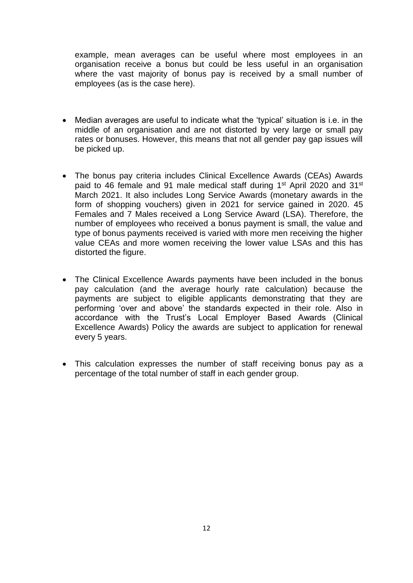example, mean averages can be useful where most employees in an organisation receive a bonus but could be less useful in an organisation where the vast majority of bonus pay is received by a small number of employees (as is the case here).

- Median averages are useful to indicate what the 'typical' situation is i.e. in the middle of an organisation and are not distorted by very large or small pay rates or bonuses. However, this means that not all gender pay gap issues will be picked up.
- The bonus pay criteria includes Clinical Excellence Awards (CEAs) Awards paid to 46 female and 91 male medical staff during 1<sup>st</sup> April 2020 and 31<sup>st</sup> March 2021. It also includes Long Service Awards (monetary awards in the form of shopping vouchers) given in 2021 for service gained in 2020. 45 Females and 7 Males received a Long Service Award (LSA). Therefore, the number of employees who received a bonus payment is small, the value and type of bonus payments received is varied with more men receiving the higher value CEAs and more women receiving the lower value LSAs and this has distorted the figure.
- The Clinical Excellence Awards payments have been included in the bonus pay calculation (and the average hourly rate calculation) because the payments are subject to eligible applicants demonstrating that they are performing 'over and above' the standards expected in their role. Also in accordance with the Trust's Local Employer Based Awards (Clinical Excellence Awards) Policy the awards are subject to application for renewal every 5 years.
- This calculation expresses the number of staff receiving bonus pay as a percentage of the total number of staff in each gender group.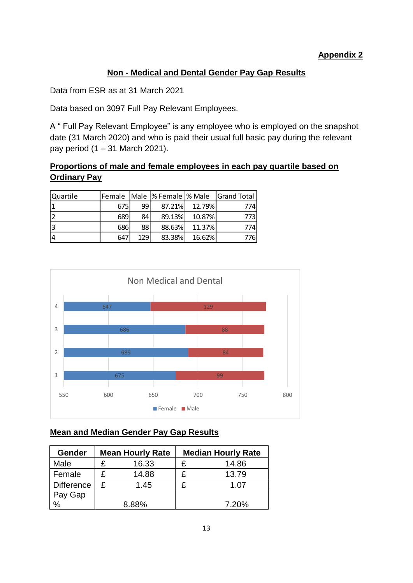# **Appendix 2**

# **Non - Medical and Dental Gender Pay Gap Results**

Data from ESR as at 31 March 2021

Data based on 3097 Full Pay Relevant Employees.

A " Full Pay Relevant Employee" is any employee who is employed on the snapshot date (31 March 2020) and who is paid their usual full basic pay during the relevant pay period (1 – 31 March 2021).

# **Proportions of male and female employees in each pay quartile based on Ordinary Pay**

| Quartile |     |      |        |        | Female   Male   % Female   % Male   Grand Total |
|----------|-----|------|--------|--------|-------------------------------------------------|
|          | 675 | 991  | 87.21% | 12.79% | 774                                             |
|          | 689 | 84   | 89.13% | 10.87% | 7731                                            |
| 13       | 686 | 88   | 88.63% | 11.37% | 774l                                            |
|          | 647 | 129l | 83.38% | 16.62% | 776                                             |



## **Mean and Median Gender Pay Gap Results**

| <b>Gender</b>     | <b>Mean Hourly Rate</b> |       | <b>Median Hourly Rate</b> |       |  |
|-------------------|-------------------------|-------|---------------------------|-------|--|
| Male              | £                       | 16.33 |                           | 14.86 |  |
| Female            | £                       | 14.88 |                           | 13.79 |  |
| <b>Difference</b> | £                       | 1.45  |                           | 1.07  |  |
| Pay Gap           |                         |       |                           |       |  |
| $\frac{1}{2}$     |                         | 8.88% |                           | 7.20% |  |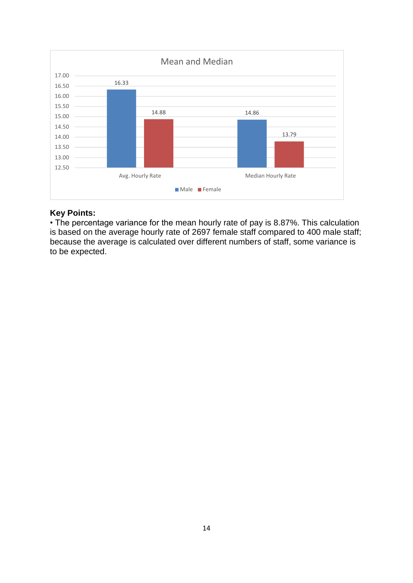

### **Key Points:**

• The percentage variance for the mean hourly rate of pay is 8.87%. This calculation is based on the average hourly rate of 2697 female staff compared to 400 male staff; because the average is calculated over different numbers of staff, some variance is to be expected.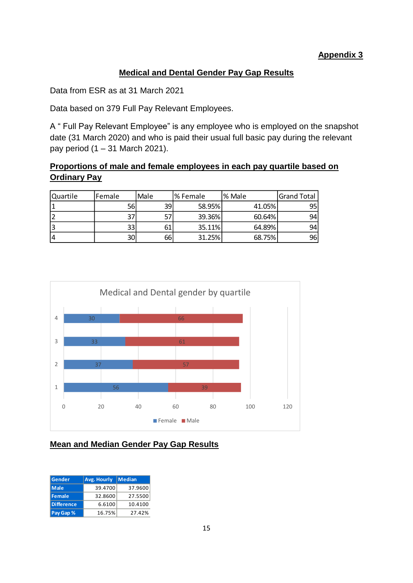# **Appendix 3**

## **Medical and Dental Gender Pay Gap Results**

Data from ESR as at 31 March 2021

Data based on 379 Full Pay Relevant Employees.

A " Full Pay Relevant Employee" is any employee who is employed on the snapshot date (31 March 2020) and who is paid their usual full basic pay during the relevant pay period (1 – 31 March 2021).

# **Proportions of male and female employees in each pay quartile based on Ordinary Pay**

| Quartile | Female | Male | l% Female | I% Male | <b>Grand Total</b> |
|----------|--------|------|-----------|---------|--------------------|
|          | 56     | 39   | 58.95%    | 41.05%  | 95                 |
|          | 37     |      | 39.36%    | 60.64%  | 94l                |
|          | 33     | 61   | 35.11%    | 64.89%  | 94I                |
| 14       | 30     | 66   | 31.25%    | 68.75%  | 96                 |



### **Mean and Median Gender Pay Gap Results**

| <b>Gender</b>     | Avg. Hourly Median |         |
|-------------------|--------------------|---------|
| Male              | 39.4700            | 37.9600 |
| <b>Female</b>     | 32.8600            | 27.5500 |
| <b>Difference</b> | 6.6100             | 10.4100 |
| Pay Gap %         | 16.75%             | 27.42%  |